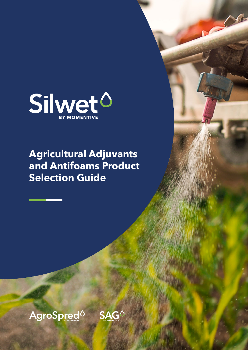

**Agricultural Adjuvants and Antifoams Product Selection Guide**



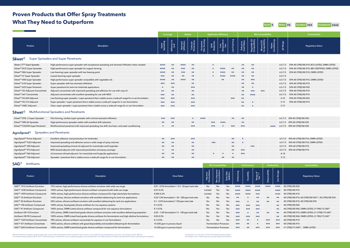| Good                         | 1. ▲                  | Better 00 | Excellent 666<br>Exceptional 6666 |  |  |  |  |  |  |  |  |  |  |
|------------------------------|-----------------------|-----------|-----------------------------------|--|--|--|--|--|--|--|--|--|--|
| ompatibility                 |                       |           | <b>Sustainability</b>             |  |  |  |  |  |  |  |  |  |  |
| Mineral Oil<br>Compatibility | Water<br>Conditioning | pH Range  | <b>Regulatory Status</b>          |  |  |  |  |  |  |  |  |  |  |

|                                       | <b>What They Need to Outperform</b>                                                                       |                                                               |                                                                |                          |                           |                            |                                                            |                           |                           |                                   |                                                                        |                              |                           | letter                         | Excellent<br>$\bullet\bullet$<br>$\bullet \bullet \bullet$<br>Exceptional 6666 |
|---------------------------------------|-----------------------------------------------------------------------------------------------------------|---------------------------------------------------------------|----------------------------------------------------------------|--------------------------|---------------------------|----------------------------|------------------------------------------------------------|---------------------------|---------------------------|-----------------------------------|------------------------------------------------------------------------|------------------------------|---------------------------|--------------------------------|--------------------------------------------------------------------------------|
|                                       |                                                                                                           |                                                               |                                                                | Uptake                   |                           |                            | <b>Application Efficiency</b>                              |                           |                           |                                   |                                                                        |                              | <b>Mix Compatibility</b>  |                                | Sustainability                                                                 |
| Product                               | Description                                                                                               | Super<br>Spreading                                            | Adhesion to<br>Leaf                                            | Stomatal<br>Infiltration | Cuticular<br>Penetration  | Protective<br>Film Forming | Drift<br>Reductior                                         | Low<br>Temperature<br>Use | ow Foaming                | Robust to<br>Hard Water           | Vegetable Oil<br>Compatibility                                         | Mineral Oil<br>Compatibility | Water<br>Conditionin      | pH Range                       | <b>Regulatory Status</b>                                                       |
| Silwet <sup>o</sup>                   | <b>Super Spreaders and Super Penetrants</b>                                                               |                                                               |                                                                |                          |                           |                            |                                                            |                           |                           |                                   |                                                                        |                              |                           |                                |                                                                                |
| Silwet L-77™ Super Spreader           | High-performance super-spreader with exceptional spreading and stomatal infiltration when needed          | 0000                                                          | $\bullet\bullet$                                               | $0.000$                  | $\bullet \bullet$         |                            |                                                            |                           |                           | $\bullet\bullet$                  | $\bullet\bullet$                                                       |                              |                           | $6.5 - 7.5$                    | EPA 40 CFR§180.910, BCS LISTED, OMRI LISTED                                    |
| Silwet™ ECO Super Spreader            | High-performance super spreader for organic farming                                                       | 0000                                                          | $\bullet\bullet$                                               | $\bullet\bullet\bullet$  | $\bullet\bullet$          |                            |                                                            | 0000                      | $\bullet\bullet$          | $\bullet\bullet$                  | $\bullet\bullet$                                                       |                              |                           | $6.5 - 7.5$                    | EPA 40 CFR§180.910, IBD CERTIFIED, OMRI LISTED                                 |
| Silwet™ 806 Super Spreader            | Low-foaming super spreader with low freezing point                                                        |                                                               | $\bullet\bullet$                                               | $\bullet\bullet\bullet$  | $\bullet\bullet$          |                            |                                                            | 0000                      | $\bullet\bullet$          | $\bullet \bullet$                 | $\bullet\bullet$                                                       |                              |                           | $6.5 - 7.5$                    | EPA 40 CFR§180.910, OMRI LISTED                                                |
| Silwet™ LF Super Spreader             | Lowest foaming super spreader                                                                             | $\bullet \bullet \bullet$                                     | $\bullet\bullet$                                               | $\bullet\bullet$         | $\bullet\bullet$          |                            |                                                            | 0000                      | 0000                      | $\bullet \bullet$                 | $\bullet\bullet$                                                       |                              |                           | $6.5 - 7.5$                    |                                                                                |
| Silwet™ 408 Super Spreader            | High-performance super spreader compatible with vegetable oils                                            | 0000                                                          | $\bullet\bullet$                                               | 0000                     | $\bullet\bullet$          |                            |                                                            | $\bullet \bullet$         |                           | $\bullet \bullet$                 | $\bullet \bullet \bullet$                                              |                              |                           | $6.5 - 7.5$                    | EPA 40 CFR§180.910, OMRI LISTED                                                |
| Silwet™ 618 Super Spreader            | Super spreader with low stomatal infiltration                                                             | $\bullet \bullet \bullet$                                     | $\bullet\bullet\bullet$                                        |                          | $\bullet\bullet$          |                            |                                                            |                           |                           | $\bullet\bullet$                  | $\bullet\bullet$                                                       |                              |                           | $6.5 - 7.5$                    | EPA 40 CFR§180.910                                                             |
| Silwet™ 625 Super Penetrant           | Super penetrant for tank-mix herbicide applications                                                       |                                                               | $\bullet\bullet$                                               |                          | $\bullet \bullet \bullet$ |                            |                                                            |                           |                           | $\bullet \bullet$                 | $\bullet$                                                              |                              |                           | $6.5 - 7.5$                    | EPA 40 CFR§180.920                                                             |
| Silwet™ OC Adjuvant Concentrate       | Adjuvant concentrate with improved spreading and adhesion for use with crop oil                           | $\bullet\bullet$                                              | $\bullet\bullet$                                               |                          | $\bullet\bullet$          |                            |                                                            |                           |                           | $\bullet\bullet$                  | $\bullet\bullet\bullet$                                                | $\bullet\bullet\bullet$      |                           | $6.5 - 7.5$                    | EPA 40 CFR§180.910                                                             |
| Silwet™ 641 Concentrate               | Adjuvant concentrate with excellent spreading for use with MSO                                            | $\bullet \bullet \bullet$                                     | $\bullet\bullet$                                               |                          | $\bullet\bullet$          |                            |                                                            |                           |                           | $\bullet \bullet$                 | 0000                                                                   |                              |                           | $6.5 - 7.5$                    | EPA 40 CFR§180.910                                                             |
| Silwet™ HS 604 Adjuvant               | Low-foaming super spreader / super penetrant that is stable across a wide pH range for in-can formulation | $\bullet \bullet \bullet$                                     | $\bullet \bullet \bullet$                                      |                          | $\bullet \bullet \bullet$ |                            |                                                            |                           | $\bullet \bullet \bullet$ | $\bullet\bullet$                  |                                                                        |                              |                           | $4 - 10$                       | EPA 40 CFR§180.920                                                             |
| Silwet™ HS 312 Adjuvant               | Super spreader / super penetrant that is stable across a wide pH range for in-can formulation             | $\bullet \bullet \bullet$                                     | $\bullet \bullet \bullet$                                      |                          | $\bullet \bullet \bullet$ |                            |                                                            |                           |                           | $\bullet\bullet$                  |                                                                        |                              |                           | $3-12$                         | EPA 40 CFR§180.910                                                             |
| Silwet™ HSEC Adjuvant                 | Clear, super spreader / super penetrant that is stable across a wide pH range for in-can formulation      | $\bullet \bullet \bullet$                                     | $\bullet \bullet \bullet$                                      |                          | $\bullet \bullet \bullet$ |                            |                                                            |                           |                           | $\bullet\bullet$                  |                                                                        |                              |                           | $3-12$                         |                                                                                |
| Silwet <sup>o</sup>                   | <b>Multifunctional Spreaders and Penetrants</b>                                                           |                                                               |                                                                |                          |                           |                            |                                                            |                           |                           |                                   |                                                                        |                              |                           |                                |                                                                                |
| Silwet™ STIK -2 Super Spreader        | Film forming, rainfast super spreader with minimal stomatal infiltration                                  | $\bullet\bullet\bullet$                                       | $\bullet \bullet \bullet$                                      |                          | $\bullet$                 | 0000                       |                                                            |                           | $\bullet\bullet$          | $\bullet \bullet$                 |                                                                        |                              |                           |                                | 6.5-7.5 EPA 40 CFR§180.920                                                     |
| Silwet™ DRS-60 Spreader               | High-performance spreader-wetter with excellent drift reduction                                           | $\bullet\bullet$                                              | $\bullet\bullet$                                               |                          | $\bullet \bullet$         |                            | $\bullet\bullet\bullet$                                    | 0000                      |                           | $\bullet\bullet$                  |                                                                        |                              |                           |                                | 6.5-7.5 EPA 40 CFR§180.920                                                     |
| Silwet™ FUSION Super Penetrant        | Multifunctional penetrant with improved spreading, low drift, low foam, and water conditioning            | $\bullet$                                                     | $\bullet\bullet$                                               |                          | $\bullet \bullet \bullet$ |                            | $\bullet\bullet\bullet$                                    |                           | $\bullet\bullet\bullet$   | $\bullet \bullet \bullet$         |                                                                        |                              | 0000                      |                                | 6.5-7.5 EPA 40 CFR§180.920                                                     |
| AgroSpred <sup>o</sup>                | <b>Spreaders and Penetrants</b>                                                                           |                                                               |                                                                |                          |                           |                            |                                                            |                           |                           |                                   |                                                                        |                              |                           |                                |                                                                                |
| AgroSpred <sup>™</sup> Prime Adjuvant | Excellent adhesion and penetration for herbicides                                                         | $\bullet\bullet$                                              | $\bullet \bullet \bullet$                                      |                          | $\bullet \bullet \bullet$ |                            |                                                            |                           | $\bullet\bullet$          |                                   |                                                                        |                              |                           |                                | 6.5-7.5 EPA 40 CFR§180.910, OMRI LISTED                                        |
| AgroSpred <sup>™</sup> FLEX Adjuvant  | Improved spreading and adhesion across a wide range of spray volumes                                      | $\bullet\bullet$                                              | $\bullet\bullet$                                               |                          | $\bullet\bullet$          |                            | $\bullet\bullet\bullet$                                    |                           | $\bullet\bullet$          |                                   |                                                                        |                              |                           |                                | 6.5-7.5 EPA 40 CFR§180.910, OMRI LISTED                                        |
| AgroSpred™ 200 Adjuvant               | Improved spreading mineral oil adjuvant for insecticides and fungicides                                   | $\bullet \bullet$                                             | $\bullet\bullet$                                               |                          | $\bullet\bullet$          |                            |                                                            |                           | $\bullet \bullet$         |                                   | $\bullet \bullet \bullet$                                              |                              |                           |                                | 6.5-7.5 EPA 40 CFR§180.910                                                     |
| AgroSpred <sup>™</sup> 910 Adjuvant   | MSO-based adjuvant with improved penetration and spray coverage                                           |                                                               | $\bullet\bullet$                                               |                          | $\bullet\bullet$          |                            |                                                            |                           | $\bullet\bullet$          | $\bullet \bullet \bullet$         |                                                                        |                              |                           |                                | 6.5-7.5 EPA 40 CFR§180.910                                                     |
| AgroSpred™ 960 Adjuvant               | d-Limonene-infused adjuvant for insecticide and fungicide applications                                    |                                                               |                                                                |                          |                           |                            |                                                            |                           |                           |                                   |                                                                        |                              |                           | $4 - 10$                       |                                                                                |
| AgroSpred <sup>™</sup> 106 Adjuvant   | Spreader / penetrant that is stable across a wide pH range for in-can formulation                         | $\bullet\bullet$                                              | $\bullet\bullet$                                               |                          | $\bullet\bullet$          |                            |                                                            | $\bullet\bullet$          | $\bullet\bullet$          |                                   |                                                                        |                              |                           | $3-12$                         |                                                                                |
|                                       |                                                                                                           |                                                               |                                                                |                          |                           |                            |                                                            |                           |                           |                                   |                                                                        |                              |                           |                                |                                                                                |
| <b>SAGO</b><br>Antifoams              |                                                                                                           |                                                               |                                                                |                          |                           |                            |                                                            | <b>Mix Compatibility</b>  |                           |                                   | Performance                                                            |                              | Productivity              |                                | Sustainability                                                                 |
| Product                               | Description                                                                                               |                                                               | Dose Rates                                                     |                          |                           | Aqueous<br>Formulations    | Non-Aqueous<br>Formulations                                | Tank-Side<br>Addition     | Defoaming                 | Durability                        | Range of<br>Use <sup>###</sup>                                         | Dispersability               | Dosa                      | <b>Regulatory Status</b>       |                                                                                |
| SAG™ 1572 Antifoam Emulsion           | 15% actives, high-performance silicone antifoam emulsion with wide use range                              | 0.01 - 0.5% formulation <sup>†</sup> / 0.5 - 50 ppm tank side |                                                                |                          |                           |                            | Yes                                                        | No                        | Yes                       | 0000                              | $\begin{array}{ccc} \bullet & \bullet & \bullet & \bullet \end{array}$ | 0000                         | 0000                      |                                | <b>4444</b> 40 CFR§180.920                                                     |
| SAG™ 1538 Antifoam Compound           | 100% actives, high-performance silicone antifoam compound with wide use range                             |                                                               | $0.01 - 0.2%$                                                  |                          |                           |                            | Limited                                                    | Yes                       | No                        | 0000                              | 0000                                                                   | 0000                         |                           | $\bullet\bullet\bullet\bullet$ | 40 CFR§180.910                                                                 |
| SAG™ 1599 Antifoam Compound           | 100% actives, high-performance silicone antifoam compound for high-electrolyte formulations               |                                                               | 0.005-0.2%                                                     |                          |                           |                            | Limited                                                    | Yes                       | No                        | $\bullet \bullet \bullet \bullet$ | $0000$                                                                 | $\bullet \bullet \bullet$    |                           | $\bullet\bullet\bullet\bullet$ | 40 CFR§180.910                                                                 |
| SAG™ 10 Antifoam Emulsion             | 1v0% actives, silicone antifoam emulsion with excellent defoaming for tank-mix applications               |                                                               | 0.25-1.0% formulation <sup>†</sup> / 20 - 200 ppm tank side    |                          |                           |                            | Yes                                                        | No                        | Yes                       | $\bullet\bullet$                  |                                                                        | $\bullet \bullet$            | $\bullet\bullet$          | $\bullet \bullet$              | 40 CFR§180.910, 40 CFR§180.920 <sup>+++</sup> , 40 CFR§180.930                 |
| SAG™ 30 Antifoam Emulsion             | 30% actives, silicone antifoam emulsion with excellent defoaming for tank-mix applications                |                                                               | 0.1 - 0.5% formulation <sup>t</sup> / 100 ppm tank side        |                          |                           |                            | Yes                                                        | No                        | Yes                       | $\bullet \bullet \bullet$         |                                                                        | $\bullet\bullet$             | $\bullet\bullet$          | $\bullet\bullet$               | 40 CFR§180.910, 40 CFR§180.930                                                 |
| SAG™ 100 Antifoam Compound            | 100% actives, food-grade silicone antifoam for non-aqueous systems                                        |                                                               | $0.1 - 0.5%$                                                   |                          |                           |                            | No                                                         | Yes                       | No                        | $\bullet \bullet \bullet$         | $\bullet\bullet\bullet$                                                | $\bullet\bullet\bullet$      |                           | $\bullet \bullet$              | 40 CFR§180.960                                                                 |
| SAG™ 47 Antifoam Compound             | 100% actives, OMRI-Listed silicone antifoam compound for non-aqueous formulations                         |                                                               | $0.1 - 0.5%$                                                   |                          |                           |                            | No                                                         | Yes                       | No                        | $\bullet \bullet \bullet$         | $\bullet\bullet\bullet$                                                | $\bullet \bullet \bullet$    |                           | $\bullet \bullet$              | 40 CFR§180.960, OMRI LISTED, 21 FR§173.340 <sup>++</sup>                       |
| Antifoam OR-10 Emulsion               | 10% actives, OMRI-Listed food-grade silicone antifoam emulsion with excellent defoaming properties        |                                                               | $0.25$ - 1.0% formulation <sup>†</sup> / 5 - 100 ppm tank side |                          |                           |                            | Yes                                                        | No                        | Yes                       | $\bullet \bullet \bullet$         |                                                                        | $\bullet \bullet$            | $\bullet\bullet$          | $\bullet \bullet$              | 40 CFR§180.910, OMRI LISTED, 21 CFR§173.340 <sup>++</sup>                      |
| Antifoam OR-90 Compound               | 100% actives, OMRI-Listed food-grade silicone antifoam for fermentation and high alkaline formulations    |                                                               | $0.05 - 0.5%$                                                  |                          |                           |                            | No                                                         | Yes                       | No                        | $\bullet \bullet \bullet$         | $\bullet\bullet\bullet$                                                | $\bullet \bullet \bullet$    |                           | $\bullet\bullet$               | 40 CFR§180.960, OMRI LISTED, 21 FR§173.340 <sup>++</sup>                       |
| SAG™ 1529 Antifoam Concentrate        | 78% actives, silicone antifoam concentrate for aqueous in-can formulations                                | $0.1 - 0.5%$                                                  |                                                                |                          |                           |                            | Yes                                                        | No                        | No                        | $\bullet \bullet \bullet$         |                                                                        |                              | $\bullet \bullet \bullet$ | $\bullet \bullet \bullet$      | 40 CFR§180.910                                                                 |
| SAG™ 471 Antifoam Concentrate         | 100% actives, silicone antifoam with good dispersibility and excellent defoaming for fermentation         |                                                               | 10-200 ppm in process liquid                                   |                          |                           |                            | <b>Fermentation Processes</b>                              |                           |                           | $\bullet \bullet \bullet$         |                                                                        |                              | $\bullet \bullet \bullet$ | $\bullet\bullet\bullet$        | 40 CFR§180.910                                                                 |
| SAG™ 5693 Antifoam Concentrate        | 100% actives, OMRI-Listed food-grade silicone antifoam compound for fermentation                          |                                                               | 10-200 ppm in process liquid                                   |                          |                           |                            | <b>Fermentation Processes</b><br>$\bullet \bullet \bullet$ |                           |                           |                                   | $\bullet\bullet$                                                       | $\bullet \bullet \bullet$    | $\bullet \bullet \bullet$ |                                | 444 21 CFR§173.340 <sup>++</sup> , OMRI LISTED                                 |

†Recommended concentration range for when foam control of the fully-diluted product is desired. If foam control is only needed during downpacking, much lower concentrations will be effective.<br>†† Compositionally compliant w

# **Proven Products that Offer Spray Treatments What They Need to Outperform**

††† Limited to no more than 16.67% in the final pesticide formulation. †††† Range of use = defoaming across a broad range of formulations.